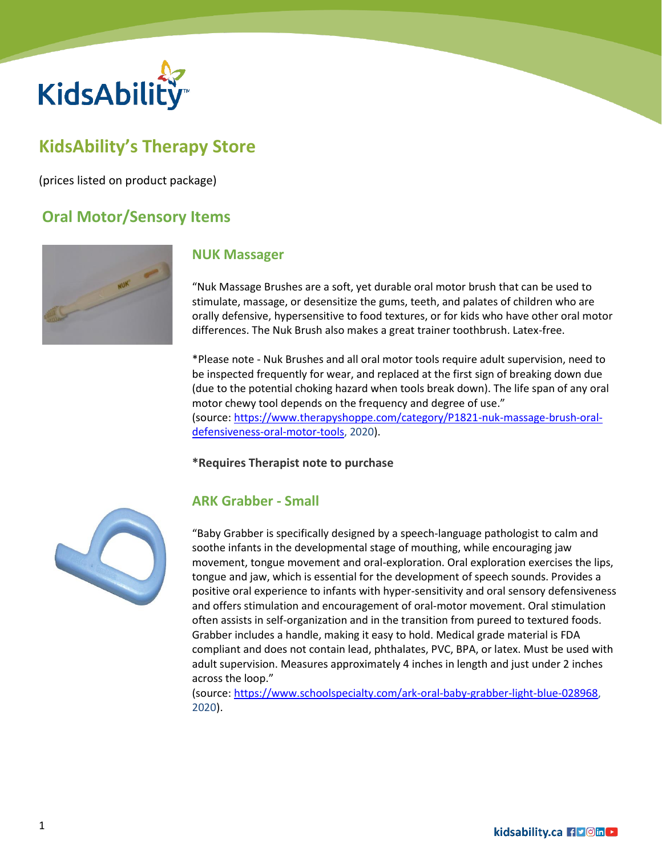

# **KidsAbility's Therapy Store**

(prices listed on product package)

## **Oral Motor/Sensory Items**



#### **NUK Massager**

"Nuk Massage Brushes are a soft, yet durable oral motor brush that can be used to stimulate, massage, or desensitize the gums, teeth, and palates of children who are orally defensive, hypersensitive to food textures, or for kids who have other oral motor differences. The Nuk Brush also makes a great trainer toothbrush. Latex-free.

\*Please note - Nuk Brushes and all oral motor tools require adult supervision, need to be inspected frequently for wear, and replaced at the first sign of breaking down due (due to the potential choking hazard when tools break down). The life span of any oral motor chewy tool depends on the frequency and degree of use." (source: [https://www.therapyshoppe.com/category/P1821-nuk-massage-brush-oral](https://www.therapyshoppe.com/category/P1821-nuk-massage-brush-oral-defensiveness-oral-motor-tools)[defensiveness-oral-motor-tools,](https://www.therapyshoppe.com/category/P1821-nuk-massage-brush-oral-defensiveness-oral-motor-tools) 2020).

#### **\*Requires Therapist note to purchase**



#### **ARK Grabber - Small**

"Baby Grabber is specifically designed by a speech-language pathologist to calm and soothe infants in the developmental stage of mouthing, while encouraging jaw movement, tongue movement and oral-exploration. Oral exploration exercises the lips, tongue and jaw, which is essential for the development of speech sounds. Provides a positive oral experience to infants with hyper-sensitivity and oral sensory defensiveness and offers stimulation and encouragement of oral-motor movement. Oral stimulation often assists in self-organization and in the transition from pureed to textured foods. Grabber includes a handle, making it easy to hold. Medical grade material is FDA compliant and does not contain lead, phthalates, PVC, BPA, or latex. Must be used with adult supervision. Measures approximately 4 inches in length and just under 2 inches across the loop."

(source: [https://www.schoolspecialty.com/ark-oral-baby-grabber-light-blue-028968,](https://www.schoolspecialty.com/ark-oral-baby-grabber-light-blue-028968) 2020).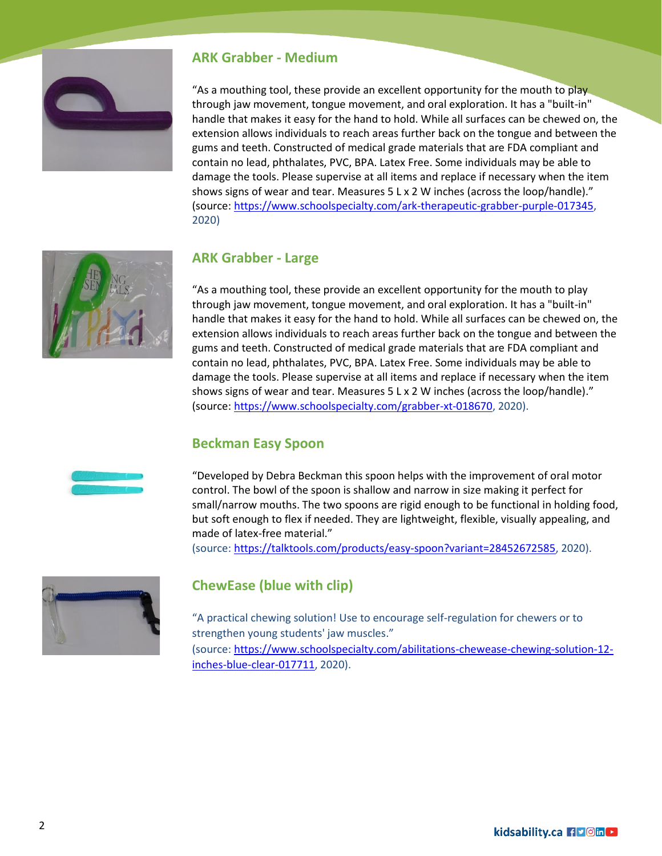

#### **ARK Grabber - Medium**

"As a mouthing tool, these provide an excellent opportunity for the mouth to play through jaw movement, tongue movement, and oral exploration. It has a "built-in" handle that makes it easy for the hand to hold. While all surfaces can be chewed on, the extension allows individuals to reach areas further back on the tongue and between the gums and teeth. Constructed of medical grade materials that are FDA compliant and contain no lead, phthalates, PVC, BPA. Latex Free. Some individuals may be able to damage the tools. Please supervise at all items and replace if necessary when the item shows signs of wear and tear. Measures 5 L x 2 W inches (across the loop/handle)." (source: [https://www.schoolspecialty.com/ark-therapeutic-grabber-purple-017345,](https://www.schoolspecialty.com/ark-therapeutic-grabber-purple-017345) 2020)



#### **ARK Grabber - Large**

"As a mouthing tool, these provide an excellent opportunity for the mouth to play through jaw movement, tongue movement, and oral exploration. It has a "built-in" handle that makes it easy for the hand to hold. While all surfaces can be chewed on, the extension allows individuals to reach areas further back on the tongue and between the gums and teeth. Constructed of medical grade materials that are FDA compliant and contain no lead, phthalates, PVC, BPA. Latex Free. Some individuals may be able to damage the tools. Please supervise at all items and replace if necessary when the item shows signs of wear and tear. Measures 5 L x 2 W inches (across the loop/handle)." (source: [https://www.schoolspecialty.com/grabber-xt-018670,](https://www.schoolspecialty.com/grabber-xt-018670) 2020).

#### **Beckman Easy Spoon**

"Developed by Debra Beckman this spoon helps with the improvement of oral motor control. The bowl of the spoon is shallow and narrow in size making it perfect for small/narrow mouths. The two spoons are rigid enough to be functional in holding food, but soft enough to flex if needed. They are lightweight, flexible, visually appealing, and made of latex-free material."

(source: [https://talktools.com/products/easy-spoon?variant=28452672585,](https://talktools.com/products/easy-spoon?variant=28452672585) 2020).



### **ChewEase (blue with clip)**

"A practical chewing solution! Use to encourage self-regulation for chewers or to strengthen young students' jaw muscles." (source: [https://www.schoolspecialty.com/abilitations-chewease-chewing-solution-12](https://www.schoolspecialty.com/abilitations-chewease-chewing-solution-12-inches-blue-clear-017711) [inches-blue-clear-017711,](https://www.schoolspecialty.com/abilitations-chewease-chewing-solution-12-inches-blue-clear-017711) 2020).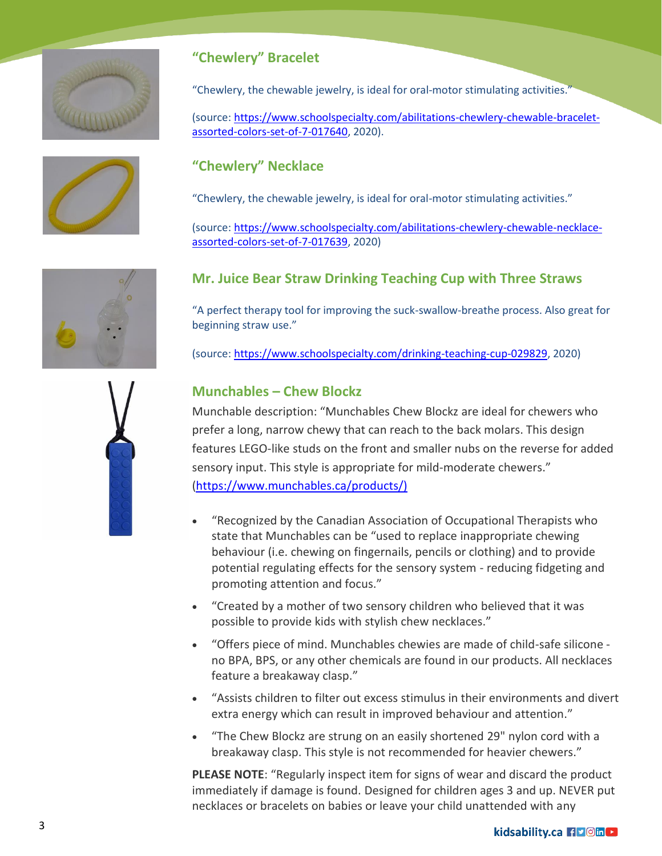





"Chewlery, the chewable jewelry, is ideal for oral-motor stimulating activities."

(source: [https://www.schoolspecialty.com/abilitations-chewlery-chewable-bracelet](https://www.schoolspecialty.com/abilitations-chewlery-chewable-bracelet-assorted-colors-set-of-7-017640)[assorted-colors-set-of-7-017640,](https://www.schoolspecialty.com/abilitations-chewlery-chewable-bracelet-assorted-colors-set-of-7-017640) 2020).

### **"Chewlery" Necklace**

"Chewlery, the chewable jewelry, is ideal for oral-motor stimulating activities."

(source: [https://www.schoolspecialty.com/abilitations-chewlery-chewable-necklace](https://www.schoolspecialty.com/abilitations-chewlery-chewable-necklace-assorted-colors-set-of-7-017639)[assorted-colors-set-of-7-017639,](https://www.schoolspecialty.com/abilitations-chewlery-chewable-necklace-assorted-colors-set-of-7-017639) 2020)

### **Mr. Juice Bear Straw Drinking Teaching Cup with Three Straws**

"A perfect therapy tool for improving the suck-swallow-breathe process. Also great for beginning straw use."

(source: [https://www.schoolspecialty.com/drinking-teaching-cup-029829,](https://www.schoolspecialty.com/drinking-teaching-cup-029829) 2020)

### **Munchables – Chew Blockz**

Munchable description: "Munchables Chew Blockz are ideal for chewers who prefer a long, narrow chewy that can reach to the back molars. This design features LEGO-like studs on the front and smaller nubs on the reverse for added sensory input. This style is appropriate for mild-moderate chewers." [\(https://www.munchables.ca/products/\)](https://www.munchables.ca/products/))

- "Recognized by the Canadian Association of Occupational Therapists who state that Munchables can be "used to replace inappropriate chewing behaviour (i.e. chewing on fingernails, pencils or clothing) and to provide potential regulating effects for the sensory system - reducing fidgeting and promoting attention and focus."
- "Created by a mother of two sensory children who believed that it was possible to provide kids with stylish chew necklaces."
- "Offers piece of mind. Munchables chewies are made of child-safe silicone no BPA, BPS, or any other chemicals are found in our products. All necklaces feature a breakaway clasp."
- "Assists children to filter out excess stimulus in their environments and divert extra energy which can result in improved behaviour and attention."
- "The Chew Blockz are strung on an easily shortened 29" nylon cord with a breakaway clasp. This style is not recommended for heavier chewers."

**PLEASE NOTE**: "Regularly inspect item for signs of wear and discard the product immediately if damage is found. Designed for children ages 3 and up. NEVER put necklaces or bracelets on babies or leave your child unattended with any

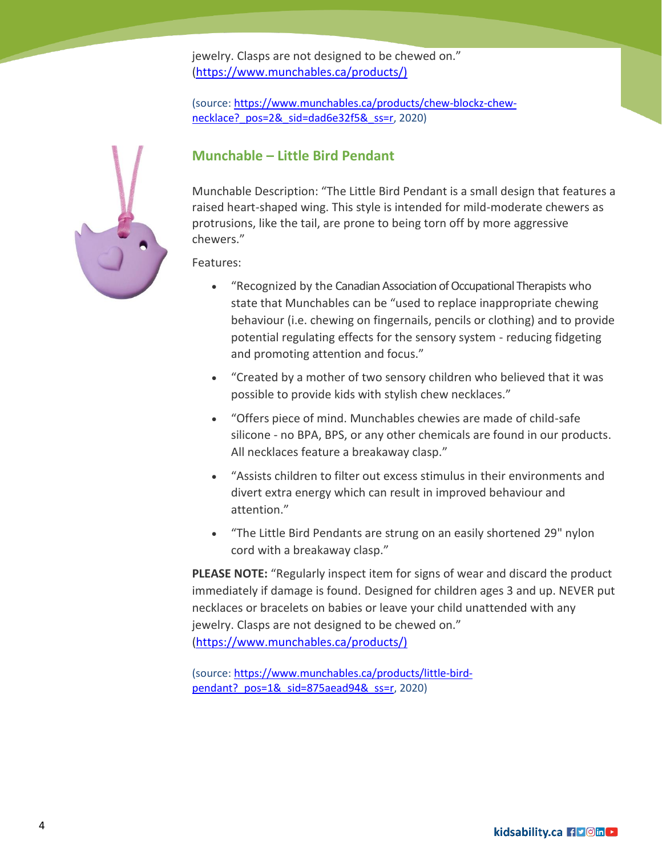jewelry. Clasps are not designed to be chewed on." [\(https://www.munchables.ca/products/\)](https://www.munchables.ca/products/))

(source: [https://www.munchables.ca/products/chew-blockz-chew](https://www.munchables.ca/products/chew-blockz-chew-necklace?_pos=2&_sid=dad6e32f5&_ss=r)necklace? pos=2& sid=dad6e32f5& ss=r, 2020)

### **Munchable – Little Bird Pendant**

Munchable Description: "The Little Bird Pendant is a small design that features a raised heart-shaped wing. This style is intended for mild-moderate chewers as protrusions, like the tail, are prone to being torn off by more aggressive chewers."

Features:

- "Recognized by the Canadian Association of Occupational Therapists who state that Munchables can be "used to replace inappropriate chewing behaviour (i.e. chewing on fingernails, pencils or clothing) and to provide potential regulating effects for the sensory system - reducing fidgeting and promoting attention and focus."
- "Created by a mother of two sensory children who believed that it was possible to provide kids with stylish chew necklaces."
- "Offers piece of mind. Munchables chewies are made of child-safe silicone - no BPA, BPS, or any other chemicals are found in our products. All necklaces feature a breakaway clasp."
- "Assists children to filter out excess stimulus in their environments and divert extra energy which can result in improved behaviour and attention."
- "The Little Bird Pendants are strung on an easily shortened 29" nylon cord with a breakaway clasp."

**PLEASE NOTE:** "Regularly inspect item for signs of wear and discard the product immediately if damage is found. Designed for children ages 3 and up. NEVER put necklaces or bracelets on babies or leave your child unattended with any jewelry. Clasps are not designed to be chewed on." [\(https://www.munchables.ca/products/\)](https://www.munchables.ca/products/))

(source: [https://www.munchables.ca/products/little-bird](https://www.munchables.ca/products/little-bird-pendant?_pos=1&_sid=875aead94&_ss=r)pendant? pos=1& sid=875aead94& ss=r, 2020)

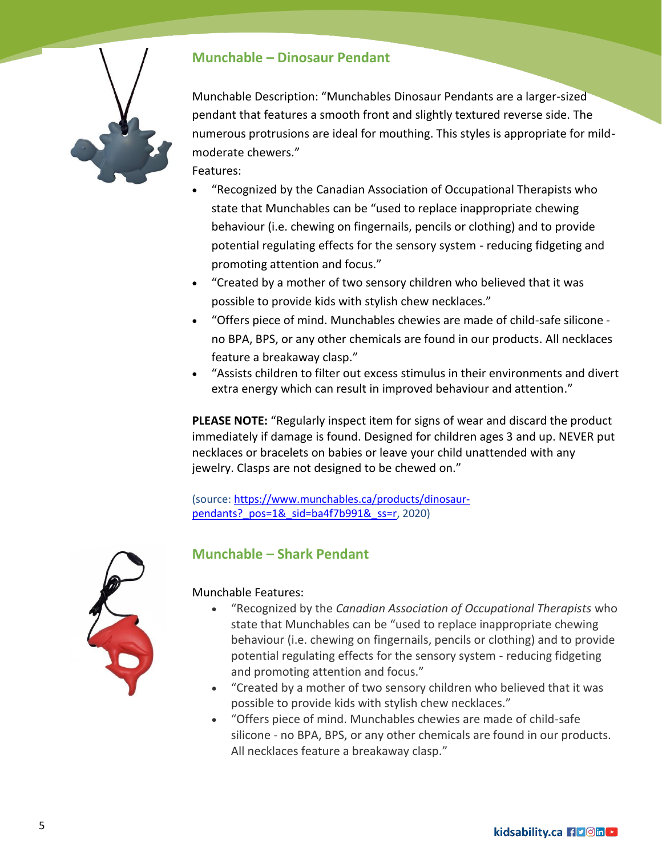

### **Munchable – Dinosaur Pendant**

Munchable Description: "Munchables Dinosaur Pendants are a larger-sized pendant that features a smooth front and slightly textured reverse side. The numerous protrusions are ideal for mouthing. This styles is appropriate for mildmoderate chewers."

Features:

- "Recognized by the Canadian Association of Occupational Therapists who state that Munchables can be "used to replace inappropriate chewing behaviour (i.e. chewing on fingernails, pencils or clothing) and to provide potential regulating effects for the sensory system - reducing fidgeting and promoting attention and focus."
- "Created by a mother of two sensory children who believed that it was possible to provide kids with stylish chew necklaces."
- "Offers piece of mind. Munchables chewies are made of child-safe silicone no BPA, BPS, or any other chemicals are found in our products. All necklaces feature a breakaway clasp."
- "Assists children to filter out excess stimulus in their environments and divert extra energy which can result in improved behaviour and attention."

**PLEASE NOTE:** "Regularly inspect item for signs of wear and discard the product immediately if damage is found. Designed for children ages 3 and up. NEVER put necklaces or bracelets on babies or leave your child unattended with any jewelry. Clasps are not designed to be chewed on."

(source: [https://www.munchables.ca/products/dinosaur](https://www.munchables.ca/products/dinosaur-pendants?_pos=1&_sid=ba4f7b991&_ss=r)pendants? pos=1& sid=ba4f7b991& ss=r, 2020)



### **Munchable – Shark Pendant**

Munchable Features:

- "Recognized by the *Canadian Association of Occupational Therapists* who state that Munchables can be "used to replace inappropriate chewing behaviour (i.e. chewing on fingernails, pencils or clothing) and to provide potential regulating effects for the sensory system - reducing fidgeting and promoting attention and focus."
- "Created by a mother of two sensory children who believed that it was possible to provide kids with stylish chew necklaces."
- "Offers piece of mind. Munchables chewies are made of child-safe silicone - no BPA, BPS, or any other chemicals are found in our products. All necklaces feature a breakaway clasp."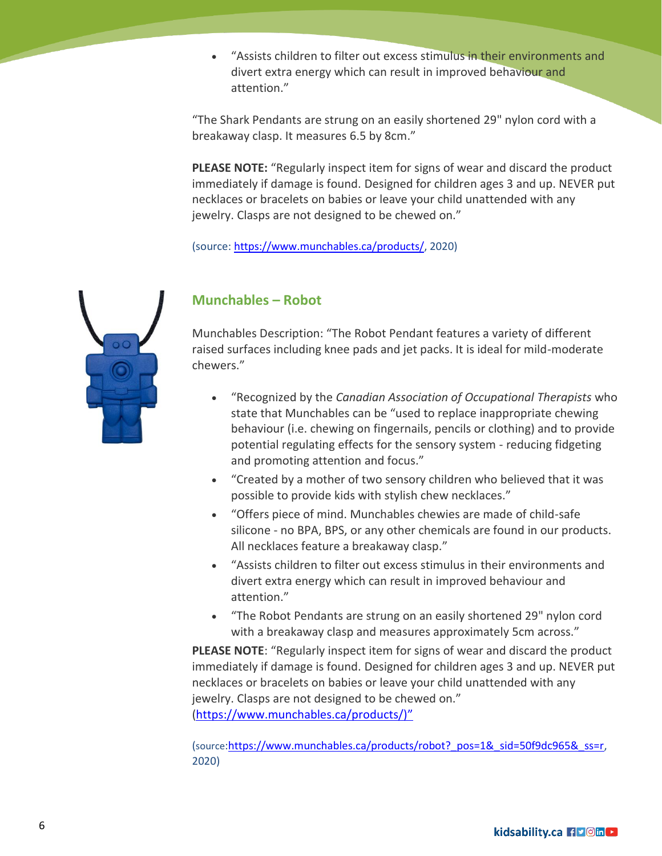"Assists children to filter out excess stimulus in their environments and divert extra energy which can result in improved behaviour and attention."

"The Shark Pendants are strung on an easily shortened 29" nylon cord with a breakaway clasp. It measures 6.5 by 8cm."

**PLEASE NOTE:** "Regularly inspect item for signs of wear and discard the product immediately if damage is found. Designed for children ages 3 and up. NEVER put necklaces or bracelets on babies or leave your child unattended with any jewelry. Clasps are not designed to be chewed on."

(source: [https://www.munchables.ca/products/,](https://www.munchables.ca/products/) 2020)



### **Munchables – Robot**

 Munchables Description: "The Robot Pendant features a variety of different raised surfaces including knee pads and jet packs. It is ideal for mild-moderate chewers."

- "Recognized by the *Canadian Association of Occupational Therapists* who state that Munchables can be "used to replace inappropriate chewing behaviour (i.e. chewing on fingernails, pencils or clothing) and to provide potential regulating effects for the sensory system - reducing fidgeting and promoting attention and focus."
- "Created by a mother of two sensory children who believed that it was possible to provide kids with stylish chew necklaces."
- "Offers piece of mind. Munchables chewies are made of child-safe silicone - no BPA, BPS, or any other chemicals are found in our products. All necklaces feature a breakaway clasp."
- "Assists children to filter out excess stimulus in their environments and divert extra energy which can result in improved behaviour and attention."
- "The Robot Pendants are strung on an easily shortened 29" nylon cord with a breakaway clasp and measures approximately 5cm across."

**PLEASE NOTE**: "Regularly inspect item for signs of wear and discard the product immediately if damage is found. Designed for children ages 3 and up. NEVER put necklaces or bracelets on babies or leave your child unattended with any jewelry. Clasps are not designed to be chewed on." [\(https://www.munchables.ca/products/\)](https://www.munchables.ca/products/))"

(source[:https://www.munchables.ca/products/robot?\\_pos=1&\\_sid=50f9dc965&\\_ss=r,](https://www.munchables.ca/products/robot?_pos=1&_sid=50f9dc965&_ss=r) 2020)